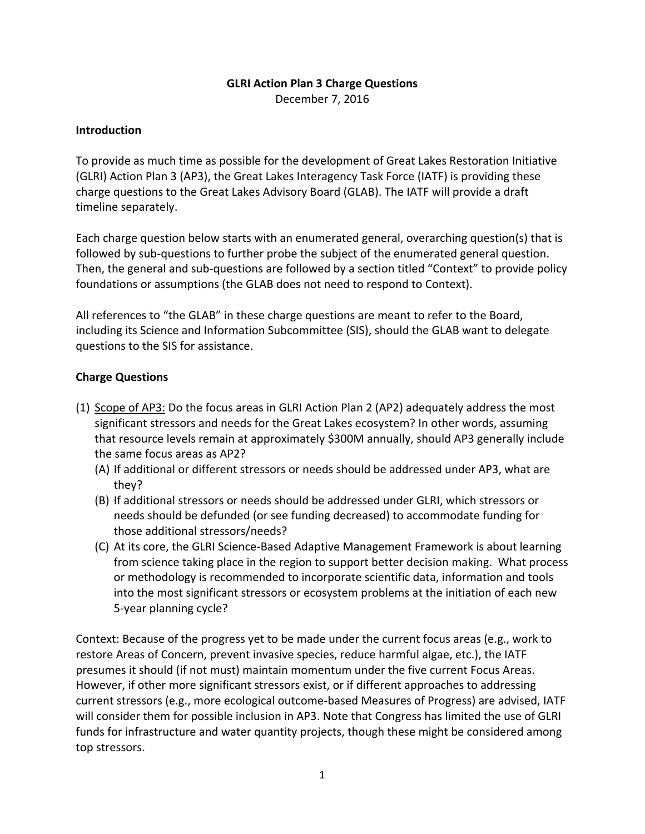## **GLRI Action Plan 3 Charge Questions**

December 7, 2016

## **Introduction**

To provide as much time as possible for the development of Great Lakes Restoration Initiative (GLRI) Action Plan 3 (AP3), the Great Lakes Interagency Task Force (IATF) is providing these charge questions to the Great Lakes Advisory Board (GLAB). The IATF will provide a draft timeline separately.

Each charge question below starts with an enumerated general, overarching question(s) that is followed by sub-questions to further probe the subject of the enumerated general question. Then, the general and sub-questions are followed by a section titled "Context" to provide policy foundations or assumptions (the GLAB does not need to respond to Context).

All references to "the GLAB" in these charge questions are meant to refer to the Board, including its Science and Information Subcommittee (SIS), should the GLAB want to delegate questions to the SIS for assistance.

## **Charge Questions**

- (1) Scope of AP3: Do the focus areas in GLRI Action Plan 2 (AP2) adequately address the most significant stressors and needs for the Great Lakes ecosystem? In other words, assuming that resource levels remain at approximately \$300M annually, should AP3 generally include the same focus areas as AP2?
	- (A) If additional or different stressors or needs should be addressed under AP3, what are they?
	- (B) If additional stressors or needs should be addressed under GLRI, which stressors or needs should be defunded (or see funding decreased) to accommodate funding for those additional stressors/needs?
	- (C) At its core, the GLRI Science-Based Adaptive Management Framework is about learning from science taking place in the region to support better decision making. What process or methodology is recommended to incorporate scientific data, information and tools into the most significant stressors or ecosystem problems at the initiation of each new 5-year planning cycle?

Context: Because of the progress yet to be made under the current focus areas (e.g., work to restore Areas of Concern, prevent invasive species, reduce harmful algae, etc.), the IATF presumes it should (if not must) maintain momentum under the five current Focus Areas. However, if other more significant stressors exist, or if different approaches to addressing current stressors (e.g., more ecological outcome-based Measures of Progress) are advised, IATF will consider them for possible inclusion in AP3. Note that Congress has limited the use of GLRI funds for infrastructure and water quantity projects, though these might be considered among top stressors.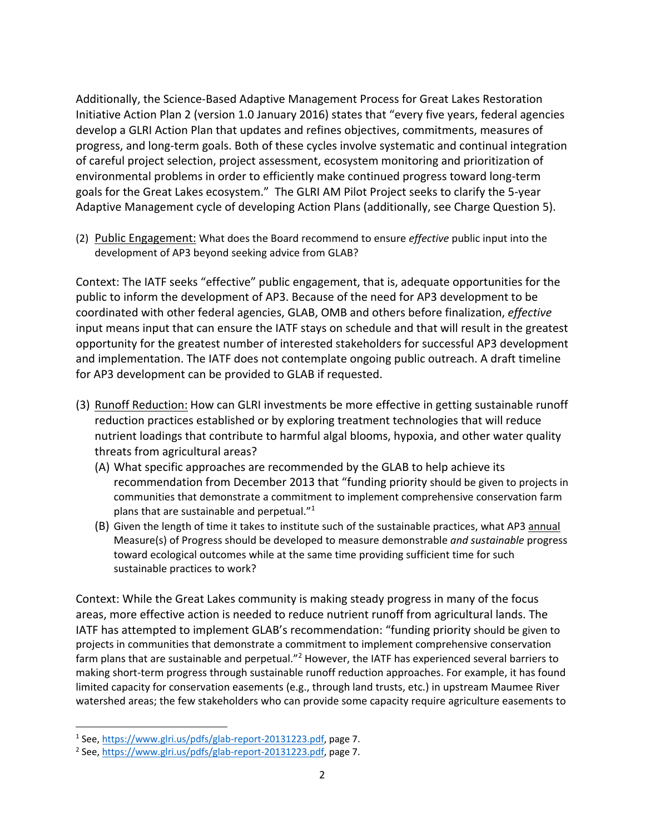Additionally, the Science-Based Adaptive Management Process for Great Lakes Restoration Initiative Action Plan 2 (version 1.0 January 2016) states that "every five years, federal agencies develop a GLRI Action Plan that updates and refines objectives, commitments, measures of progress, and long-term goals. Both of these cycles involve systematic and continual integration of careful project selection, project assessment, ecosystem monitoring and prioritization of environmental problems in order to efficiently make continued progress toward long-term goals for the Great Lakes ecosystem." The GLRI AM Pilot Project seeks to clarify the 5-year Adaptive Management cycle of developing Action Plans (additionally, see Charge Question 5).

(2) Public Engagement: What does the Board recommend to ensure *effective* public input into the development of AP3 beyond seeking advice from GLAB?

Context: The IATF seeks "effective" public engagement, that is, adequate opportunities for the public to inform the development of AP3. Because of the need for AP3 development to be coordinated with other federal agencies, GLAB, OMB and others before finalization, *effective* input means input that can ensure the IATF stays on schedule and that will result in the greatest opportunity for the greatest number of interested stakeholders for successful AP3 development and implementation. The IATF does not contemplate ongoing public outreach. A draft timeline for AP3 development can be provided to GLAB if requested.

- (3) Runoff Reduction: How can GLRI investments be more effective in getting sustainable runoff reduction practices established or by exploring treatment technologies that will reduce nutrient loadings that contribute to harmful algal blooms, hypoxia, and other water quality threats from agricultural areas?
	- (A) What specific approaches are recommended by the GLAB to help achieve its recommendation from December 2013 that "funding priority should be given to projects in communities that demonstrate a commitment to implement comprehensive conservation farm plans that are sustainable and perpetual."<sup>1</sup>
	- (B) Given the length of time it takes to institute such of the sustainable practices, what AP3 annual Measure(s) of Progress should be developed to measure demonstrable *and sustainable* progress toward ecological outcomes while at the same time providing sufficient time for such sustainable practices to work?

Context: While the Great Lakes community is making steady progress in many of the focus areas, more effective action is needed to reduce nutrient runoff from agricultural lands. The IATF has attempted to implement GLAB's recommendation: "funding priority should be given to projects in communities that demonstrate a commitment to implement comprehensive conservation farm plans that are sustainable and perpetual."<sup>2</sup> However, the IATF has experienced several barriers to making short-term progress through sustainable runoff reduction approaches. For example, it has found limited capacity for conservation easements (e.g., through land trusts, etc.) in upstream Maumee River watershed areas; the few stakeholders who can provide some capacity require agriculture easements to

 $\overline{\phantom{a}}$ 

<sup>&</sup>lt;sup>1</sup> See, [https://www.glri.us/pdfs/glab-report-20131223.pdf,](https://www.glri.us/pdfs/glab-report-20131223.pdf) page 7.

<sup>&</sup>lt;sup>2</sup> See, [https://www.glri.us/pdfs/glab-report-20131223.pdf,](https://www.glri.us/pdfs/glab-report-20131223.pdf) page 7.